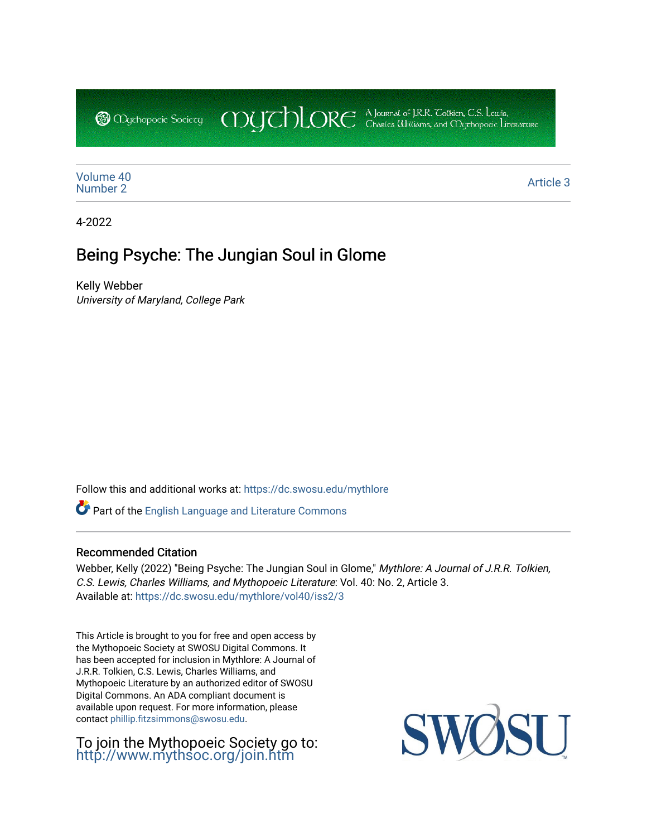CDUCHLORE A Journal of J.R.R. Coltien, C.S. Lewis,<br>CDUCHLORE Charles Williams, and Obyethopoeic Literacure **@** Mychopoeic Sociecy

[Volume 40](https://dc.swosu.edu/mythlore/vol40) [Number 2](https://dc.swosu.edu/mythlore/vol40/iss2) Article 3<br>Number 2

4-2022

# Being Psyche: The Jungian Soul in Glome

Kelly Webber University of Maryland, College Park

Follow this and additional works at: [https://dc.swosu.edu/mythlore](https://dc.swosu.edu/mythlore?utm_source=dc.swosu.edu%2Fmythlore%2Fvol40%2Fiss2%2F3&utm_medium=PDF&utm_campaign=PDFCoverPages) 

Part of the [English Language and Literature Commons](http://network.bepress.com/hgg/discipline/455?utm_source=dc.swosu.edu%2Fmythlore%2Fvol40%2Fiss2%2F3&utm_medium=PDF&utm_campaign=PDFCoverPages)

#### Recommended Citation

Webber, Kelly (2022) "Being Psyche: The Jungian Soul in Glome," Mythlore: A Journal of J.R.R. Tolkien, C.S. Lewis, Charles Williams, and Mythopoeic Literature: Vol. 40: No. 2, Article 3. Available at: [https://dc.swosu.edu/mythlore/vol40/iss2/3](https://dc.swosu.edu/mythlore/vol40/iss2/3?utm_source=dc.swosu.edu%2Fmythlore%2Fvol40%2Fiss2%2F3&utm_medium=PDF&utm_campaign=PDFCoverPages) 

This Article is brought to you for free and open access by the Mythopoeic Society at SWOSU Digital Commons. It has been accepted for inclusion in Mythlore: A Journal of J.R.R. Tolkien, C.S. Lewis, Charles Williams, and Mythopoeic Literature by an authorized editor of SWOSU Digital Commons. An ADA compliant document is available upon request. For more information, please contact [phillip.fitzsimmons@swosu.edu.](mailto:phillip.fitzsimmons@swosu.edu)

To join the Mythopoeic Society go to: <http://www.mythsoc.org/join.htm>

SU SWO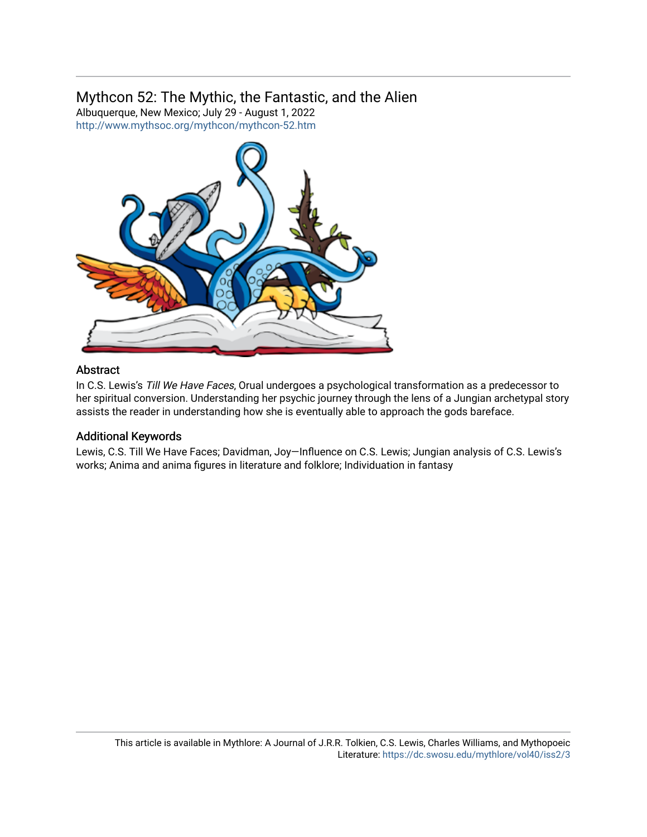## Mythcon 52: The Mythic, the Fantastic, and the Alien

Albuquerque, New Mexico; July 29 - August 1, 2022 <http://www.mythsoc.org/mythcon/mythcon-52.htm>



### Abstract

In C.S. Lewis's Till We Have Faces, Orual undergoes a psychological transformation as a predecessor to her spiritual conversion. Understanding her psychic journey through the lens of a Jungian archetypal story assists the reader in understanding how she is eventually able to approach the gods bareface.

#### Additional Keywords

Lewis, C.S. Till We Have Faces; Davidman, Joy—Influence on C.S. Lewis; Jungian analysis of C.S. Lewis's works; Anima and anima figures in literature and folklore; Individuation in fantasy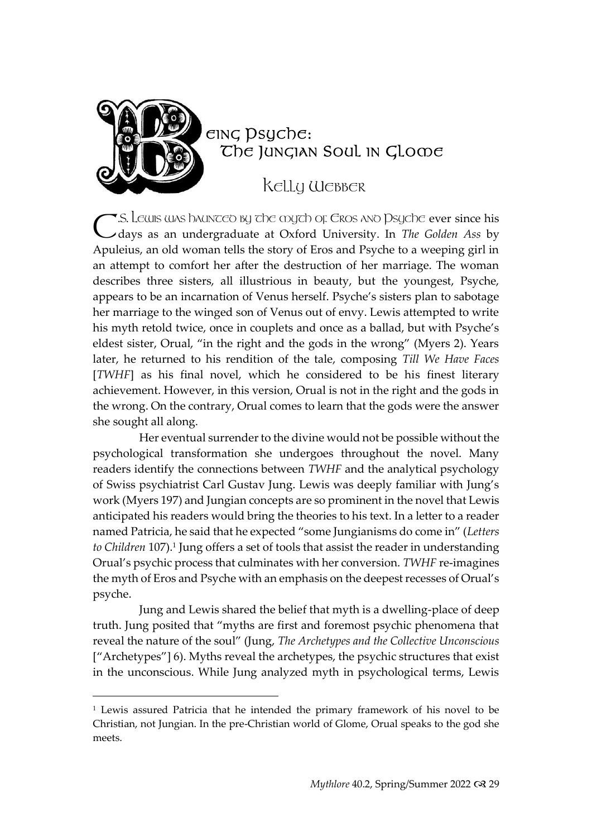

### eing psyche: The JUNGIAN SOUL IN GLOODE

KELLY WEBBER

 $\blacktriangledown$ .S. Lewis was haunceo by the myth of Eros ano <code>Dsyche</code> ever since his C.S. Lewis was haunceo by che coych of Eros and Dsyche ever since his<br>C days as an undergraduate at Oxford University. In *The Golden Ass* by Apuleius, an old woman tells the story of Eros and Psyche to a weeping girl in an attempt to comfort her after the destruction of her marriage. The woman describes three sisters, all illustrious in beauty, but the youngest, Psyche, appears to be an incarnation of Venus herself. Psyche's sisters plan to sabotage her marriage to the winged son of Venus out of envy. Lewis attempted to write his myth retold twice, once in couplets and once as a ballad, but with Psyche's eldest sister, Orual, "in the right and the gods in the wrong" (Myers 2). Years later, he returned to his rendition of the tale, composing *Till We Have Faces*  [*TWHF*] as his final novel, which he considered to be his finest literary achievement. However, in this version, Orual is not in the right and the gods in the wrong. On the contrary, Orual comes to learn that the gods were the answer she sought all along.

Her eventual surrender to the divine would not be possible without the psychological transformation she undergoes throughout the novel. Many readers identify the connections between *TWHF* and the analytical psychology of Swiss psychiatrist Carl Gustav Jung. Lewis was deeply familiar with Jung's work (Myers 197) and Jungian concepts are so prominent in the novel that Lewis anticipated his readers would bring the theories to his text. In a letter to a reader named Patricia, he said that he expected "some Jungianisms do come in" (*Letters*  to Children 107).<sup>1</sup> Jung offers a set of tools that assist the reader in understanding Orual's psychic process that culminates with her conversion. *TWHF* re-imagines the myth of Eros and Psyche with an emphasis on the deepest recesses of Orual's psyche.

Jung and Lewis shared the belief that myth is a dwelling-place of deep truth. Jung posited that "myths are first and foremost psychic phenomena that reveal the nature of the soul" (Jung, *The Archetypes and the Collective Unconscious*  ["Archetypes"] 6). Myths reveal the archetypes, the psychic structures that exist in the unconscious. While Jung analyzed myth in psychological terms, Lewis

<sup>1</sup> Lewis assured Patricia that he intended the primary framework of his novel to be Christian, not Jungian. In the pre-Christian world of Glome, Orual speaks to the god she meets.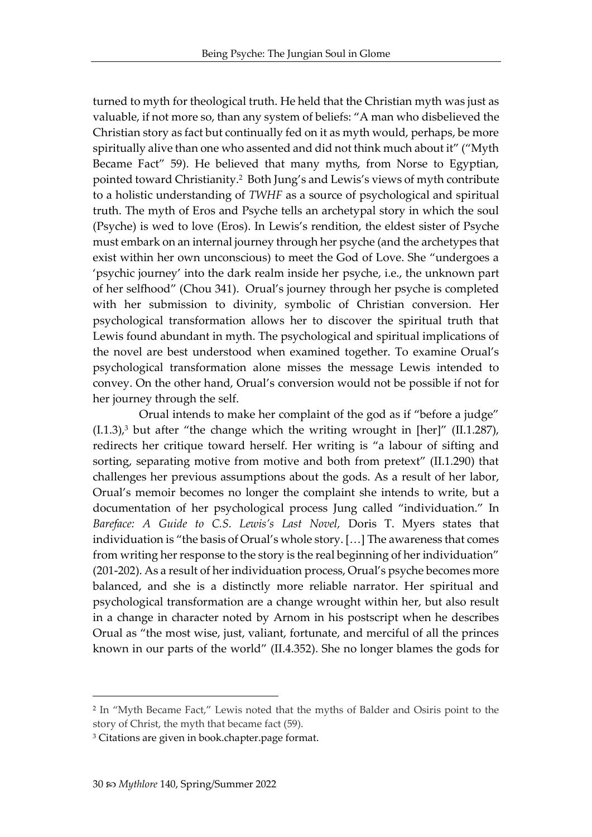turned to myth for theological truth. He held that the Christian myth was just as valuable, if not more so, than any system of beliefs: "A man who disbelieved the Christian story as fact but continually fed on it as myth would, perhaps, be more spiritually alive than one who assented and did not think much about it" ("Myth Became Fact" 59). He believed that many myths, from Norse to Egyptian, pointed toward Christianity.<sup>2</sup> Both Jung's and Lewis's views of myth contribute to a holistic understanding of *TWHF* as a source of psychological and spiritual truth. The myth of Eros and Psyche tells an archetypal story in which the soul (Psyche) is wed to love (Eros). In Lewis's rendition, the eldest sister of Psyche must embark on an internal journey through her psyche (and the archetypes that exist within her own unconscious) to meet the God of Love. She "undergoes a 'psychic journey' into the dark realm inside her psyche, i.e., the unknown part of her selfhood" (Chou 341). Orual's journey through her psyche is completed with her submission to divinity, symbolic of Christian conversion. Her psychological transformation allows her to discover the spiritual truth that Lewis found abundant in myth. The psychological and spiritual implications of the novel are best understood when examined together. To examine Orual's psychological transformation alone misses the message Lewis intended to convey. On the other hand, Orual's conversion would not be possible if not for her journey through the self.

Orual intends to make her complaint of the god as if "before a judge"  $(1.1.3)$ ,<sup>3</sup> but after "the change which the writing wrought in [her]" (II.1.287), redirects her critique toward herself. Her writing is "a labour of sifting and sorting, separating motive from motive and both from pretext" (II.1.290) that challenges her previous assumptions about the gods. As a result of her labor, Orual's memoir becomes no longer the complaint she intends to write, but a documentation of her psychological process Jung called "individuation." In *Bareface: A Guide to C.S. Lewis's Last Novel,* Doris T. Myers states that individuation is "the basis of Orual's whole story. […] The awareness that comes from writing her response to the story is the real beginning of her individuation" (201-202). As a result of her individuation process, Orual's psyche becomes more balanced, and she is a distinctly more reliable narrator. Her spiritual and psychological transformation are a change wrought within her, but also result in a change in character noted by Arnom in his postscript when he describes Orual as "the most wise, just, valiant, fortunate, and merciful of all the princes known in our parts of the world" (II.4.352). She no longer blames the gods for

<sup>2</sup> In "Myth Became Fact," Lewis noted that the myths of Balder and Osiris point to the story of Christ, the myth that became fact (59).

<sup>3</sup> Citations are given in book.chapter.page format.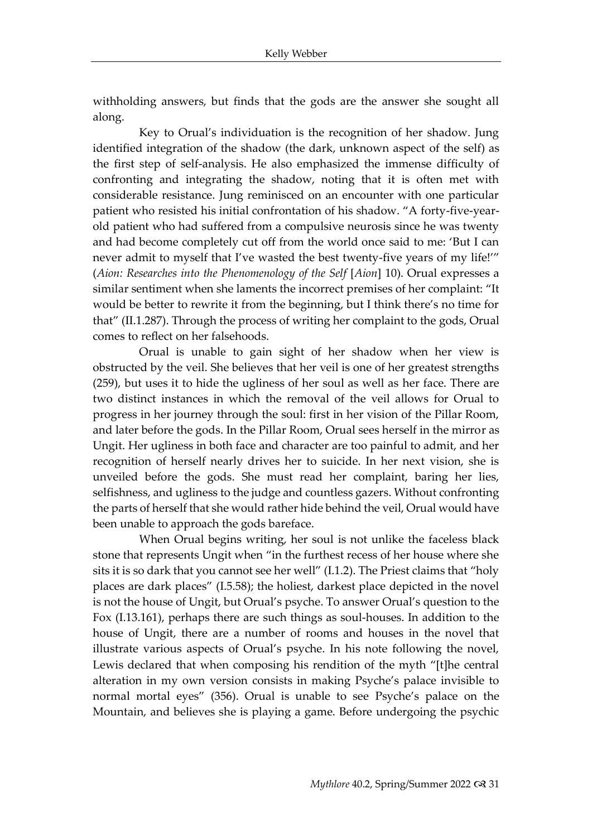withholding answers, but finds that the gods are the answer she sought all along.

Key to Orual's individuation is the recognition of her shadow. Jung identified integration of the shadow (the dark, unknown aspect of the self) as the first step of self-analysis. He also emphasized the immense difficulty of confronting and integrating the shadow, noting that it is often met with considerable resistance. Jung reminisced on an encounter with one particular patient who resisted his initial confrontation of his shadow. "A forty-five-yearold patient who had suffered from a compulsive neurosis since he was twenty and had become completely cut off from the world once said to me: 'But I can never admit to myself that I've wasted the best twenty-five years of my life!'" (*Aion: Researches into the Phenomenology of the Self* [*Aion*] 10). Orual expresses a similar sentiment when she laments the incorrect premises of her complaint: "It would be better to rewrite it from the beginning, but I think there's no time for that" (II.1.287). Through the process of writing her complaint to the gods, Orual comes to reflect on her falsehoods.

Orual is unable to gain sight of her shadow when her view is obstructed by the veil. She believes that her veil is one of her greatest strengths (259), but uses it to hide the ugliness of her soul as well as her face. There are two distinct instances in which the removal of the veil allows for Orual to progress in her journey through the soul: first in her vision of the Pillar Room, and later before the gods. In the Pillar Room, Orual sees herself in the mirror as Ungit. Her ugliness in both face and character are too painful to admit, and her recognition of herself nearly drives her to suicide. In her next vision, she is unveiled before the gods. She must read her complaint, baring her lies, selfishness, and ugliness to the judge and countless gazers. Without confronting the parts of herself that she would rather hide behind the veil, Orual would have been unable to approach the gods bareface.

When Orual begins writing, her soul is not unlike the faceless black stone that represents Ungit when "in the furthest recess of her house where she sits it is so dark that you cannot see her well" (I.1.2). The Priest claims that "holy places are dark places" (I.5.58); the holiest, darkest place depicted in the novel is not the house of Ungit, but Orual's psyche. To answer Orual's question to the Fox (I.13.161), perhaps there are such things as soul-houses. In addition to the house of Ungit, there are a number of rooms and houses in the novel that illustrate various aspects of Orual's psyche. In his note following the novel, Lewis declared that when composing his rendition of the myth "[t]he central alteration in my own version consists in making Psyche's palace invisible to normal mortal eyes" (356). Orual is unable to see Psyche's palace on the Mountain, and believes she is playing a game. Before undergoing the psychic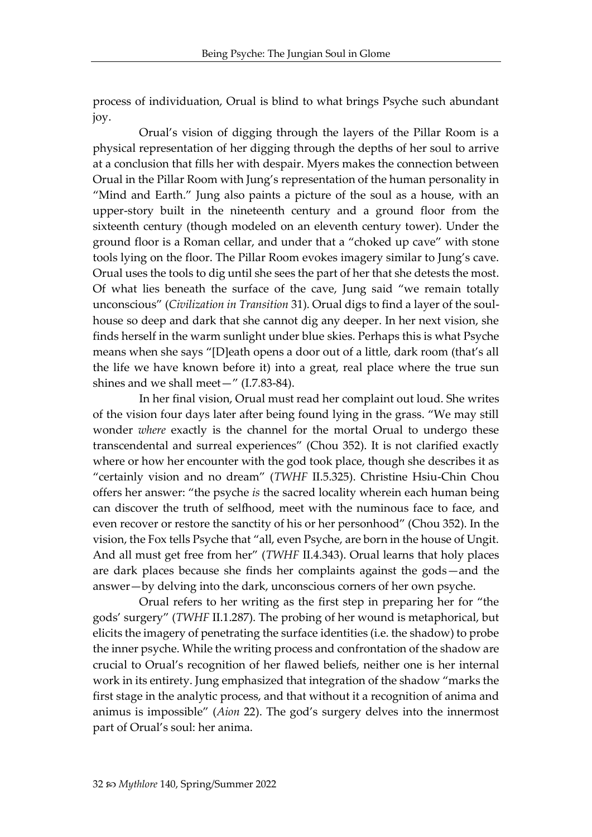process of individuation, Orual is blind to what brings Psyche such abundant joy.

Orual's vision of digging through the layers of the Pillar Room is a physical representation of her digging through the depths of her soul to arrive at a conclusion that fills her with despair. Myers makes the connection between Orual in the Pillar Room with Jung's representation of the human personality in "Mind and Earth." Jung also paints a picture of the soul as a house, with an upper-story built in the nineteenth century and a ground floor from the sixteenth century (though modeled on an eleventh century tower). Under the ground floor is a Roman cellar, and under that a "choked up cave" with stone tools lying on the floor. The Pillar Room evokes imagery similar to Jung's cave. Orual uses the tools to dig until she sees the part of her that she detests the most. Of what lies beneath the surface of the cave, Jung said "we remain totally unconscious" (*Civilization in Transition* 31). Orual digs to find a layer of the soulhouse so deep and dark that she cannot dig any deeper. In her next vision, she finds herself in the warm sunlight under blue skies. Perhaps this is what Psyche means when she says "[D]eath opens a door out of a little, dark room (that's all the life we have known before it) into a great, real place where the true sun shines and we shall meet—" (I.7.83-84).

In her final vision, Orual must read her complaint out loud. She writes of the vision four days later after being found lying in the grass. "We may still wonder *where* exactly is the channel for the mortal Orual to undergo these transcendental and surreal experiences" (Chou 352). It is not clarified exactly where or how her encounter with the god took place, though she describes it as "certainly vision and no dream" (*TWHF* II.5.325). Christine Hsiu-Chin Chou offers her answer: "the psyche *is* the sacred locality wherein each human being can discover the truth of selfhood, meet with the numinous face to face, and even recover or restore the sanctity of his or her personhood" (Chou 352). In the vision, the Fox tells Psyche that "all, even Psyche, are born in the house of Ungit. And all must get free from her" (*TWHF* II.4.343). Orual learns that holy places are dark places because she finds her complaints against the gods—and the answer—by delving into the dark, unconscious corners of her own psyche.

Orual refers to her writing as the first step in preparing her for "the gods' surgery" (*TWHF* II.1.287). The probing of her wound is metaphorical, but elicits the imagery of penetrating the surface identities (i.e. the shadow) to probe the inner psyche. While the writing process and confrontation of the shadow are crucial to Orual's recognition of her flawed beliefs, neither one is her internal work in its entirety. Jung emphasized that integration of the shadow "marks the first stage in the analytic process, and that without it a recognition of anima and animus is impossible" (*Aion* 22). The god's surgery delves into the innermost part of Orual's soul: her anima.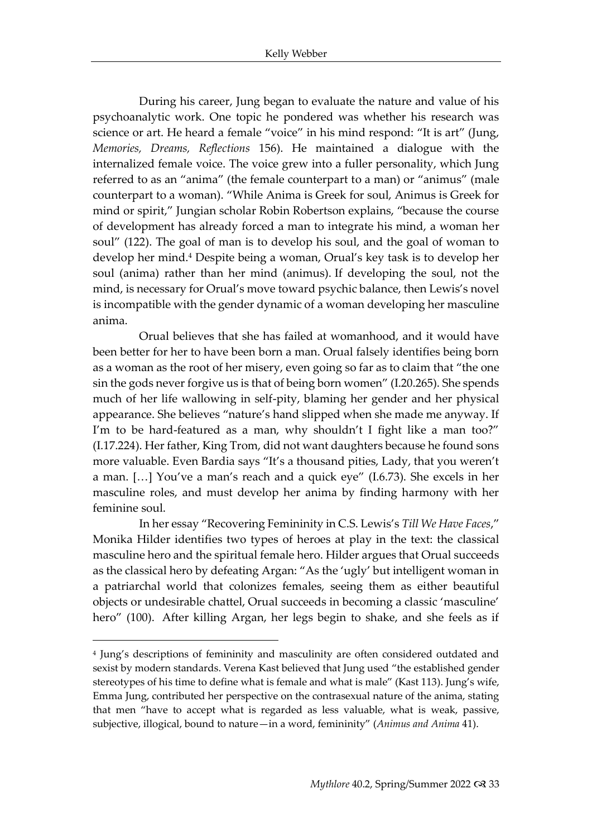During his career, Jung began to evaluate the nature and value of his psychoanalytic work. One topic he pondered was whether his research was science or art. He heard a female "voice" in his mind respond: "It is art" (Jung, *Memories, Dreams, Reflections* 156). He maintained a dialogue with the internalized female voice. The voice grew into a fuller personality, which Jung referred to as an "anima" (the female counterpart to a man) or "animus" (male counterpart to a woman). "While Anima is Greek for soul, Animus is Greek for mind or spirit," Jungian scholar Robin Robertson explains, "because the course of development has already forced a man to integrate his mind, a woman her soul" (122). The goal of man is to develop his soul, and the goal of woman to develop her mind.<sup>4</sup> Despite being a woman, Orual's key task is to develop her soul (anima) rather than her mind (animus). If developing the soul, not the mind, is necessary for Orual's move toward psychic balance, then Lewis's novel is incompatible with the gender dynamic of a woman developing her masculine anima.

Orual believes that she has failed at womanhood, and it would have been better for her to have been born a man. Orual falsely identifies being born as a woman as the root of her misery, even going so far as to claim that "the one sin the gods never forgive us is that of being born women" (I.20.265). She spends much of her life wallowing in self-pity, blaming her gender and her physical appearance. She believes "nature's hand slipped when she made me anyway. If I'm to be hard-featured as a man, why shouldn't I fight like a man too?" (I.17.224). Her father, King Trom, did not want daughters because he found sons more valuable. Even Bardia says "It's a thousand pities, Lady, that you weren't a man. […] You've a man's reach and a quick eye" (I.6.73). She excels in her masculine roles, and must develop her anima by finding harmony with her feminine soul.

In her essay "Recovering Femininity in C.S. Lewis's *Till We Have Faces*," Monika Hilder identifies two types of heroes at play in the text: the classical masculine hero and the spiritual female hero. Hilder argues that Orual succeeds as the classical hero by defeating Argan: "As the 'ugly' but intelligent woman in a patriarchal world that colonizes females, seeing them as either beautiful objects or undesirable chattel, Orual succeeds in becoming a classic 'masculine' hero" (100). After killing Argan, her legs begin to shake, and she feels as if

<sup>4</sup> Jung's descriptions of femininity and masculinity are often considered outdated and sexist by modern standards. Verena Kast believed that Jung used "the established gender stereotypes of his time to define what is female and what is male" (Kast 113). Jung's wife, Emma Jung, contributed her perspective on the contrasexual nature of the anima, stating that men "have to accept what is regarded as less valuable, what is weak, passive, subjective, illogical, bound to nature—in a word, femininity" (*Animus and Anima* 41).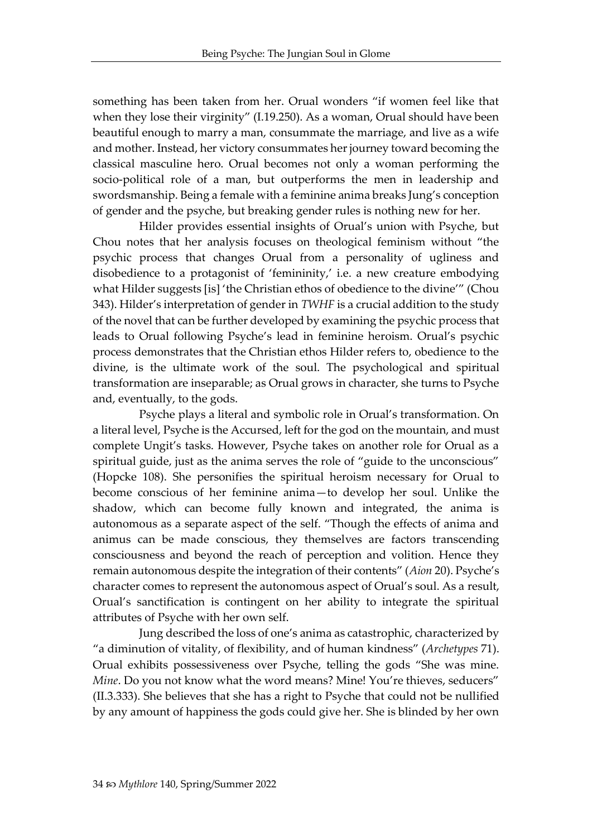something has been taken from her. Orual wonders "if women feel like that when they lose their virginity" (I.19.250). As a woman, Orual should have been beautiful enough to marry a man, consummate the marriage, and live as a wife and mother. Instead, her victory consummates her journey toward becoming the classical masculine hero. Orual becomes not only a woman performing the socio-political role of a man, but outperforms the men in leadership and swordsmanship. Being a female with a feminine anima breaks Jung's conception of gender and the psyche, but breaking gender rules is nothing new for her.

Hilder provides essential insights of Orual's union with Psyche, but Chou notes that her analysis focuses on theological feminism without "the psychic process that changes Orual from a personality of ugliness and disobedience to a protagonist of 'femininity,' i.e. a new creature embodying what Hilder suggests [is] 'the Christian ethos of obedience to the divine'" (Chou 343). Hilder's interpretation of gender in *TWHF* is a crucial addition to the study of the novel that can be further developed by examining the psychic process that leads to Orual following Psyche's lead in feminine heroism. Orual's psychic process demonstrates that the Christian ethos Hilder refers to, obedience to the divine, is the ultimate work of the soul. The psychological and spiritual transformation are inseparable; as Orual grows in character, she turns to Psyche and, eventually, to the gods.

Psyche plays a literal and symbolic role in Orual's transformation. On a literal level, Psyche is the Accursed, left for the god on the mountain, and must complete Ungit's tasks. However, Psyche takes on another role for Orual as a spiritual guide, just as the anima serves the role of "guide to the unconscious" (Hopcke 108). She personifies the spiritual heroism necessary for Orual to become conscious of her feminine anima—to develop her soul. Unlike the shadow, which can become fully known and integrated, the anima is autonomous as a separate aspect of the self. "Though the effects of anima and animus can be made conscious, they themselves are factors transcending consciousness and beyond the reach of perception and volition. Hence they remain autonomous despite the integration of their contents" (*Aion* 20). Psyche's character comes to represent the autonomous aspect of Orual's soul. As a result, Orual's sanctification is contingent on her ability to integrate the spiritual attributes of Psyche with her own self.

Jung described the loss of one's anima as catastrophic, characterized by "a diminution of vitality, of flexibility, and of human kindness" (*Archetypes* 71). Orual exhibits possessiveness over Psyche, telling the gods "She was mine. *Mine*. Do you not know what the word means? Mine! You're thieves, seducers" (II.3.333). She believes that she has a right to Psyche that could not be nullified by any amount of happiness the gods could give her. She is blinded by her own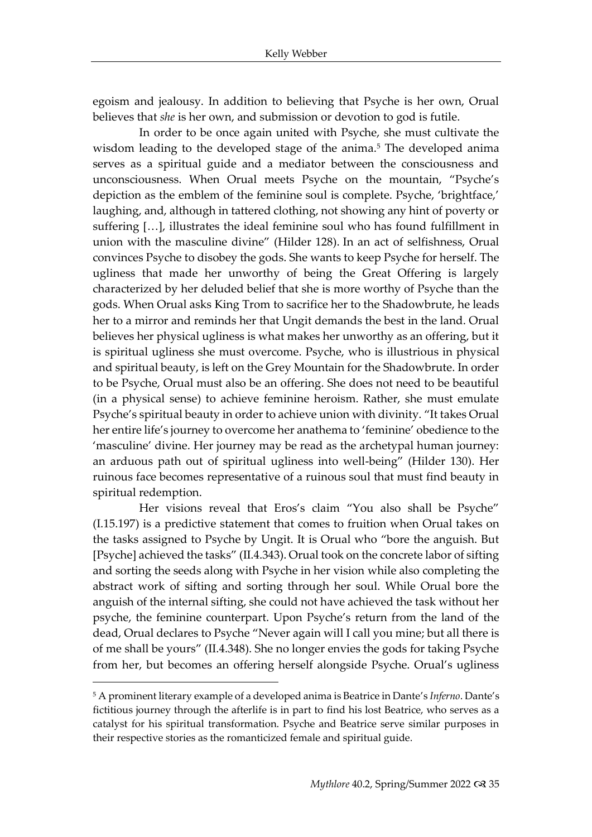egoism and jealousy. In addition to believing that Psyche is her own, Orual believes that *she* is her own, and submission or devotion to god is futile.

In order to be once again united with Psyche, she must cultivate the wisdom leading to the developed stage of the anima.<sup>5</sup> The developed anima serves as a spiritual guide and a mediator between the consciousness and unconsciousness. When Orual meets Psyche on the mountain, "Psyche's depiction as the emblem of the feminine soul is complete. Psyche, 'brightface,' laughing, and, although in tattered clothing, not showing any hint of poverty or suffering […], illustrates the ideal feminine soul who has found fulfillment in union with the masculine divine" (Hilder 128). In an act of selfishness, Orual convinces Psyche to disobey the gods. She wants to keep Psyche for herself. The ugliness that made her unworthy of being the Great Offering is largely characterized by her deluded belief that she is more worthy of Psyche than the gods. When Orual asks King Trom to sacrifice her to the Shadowbrute, he leads her to a mirror and reminds her that Ungit demands the best in the land. Orual believes her physical ugliness is what makes her unworthy as an offering, but it is spiritual ugliness she must overcome. Psyche, who is illustrious in physical and spiritual beauty, is left on the Grey Mountain for the Shadowbrute. In order to be Psyche, Orual must also be an offering. She does not need to be beautiful (in a physical sense) to achieve feminine heroism. Rather, she must emulate Psyche's spiritual beauty in order to achieve union with divinity. "It takes Orual her entire life's journey to overcome her anathema to 'feminine' obedience to the 'masculine' divine. Her journey may be read as the archetypal human journey: an arduous path out of spiritual ugliness into well-being" (Hilder 130). Her ruinous face becomes representative of a ruinous soul that must find beauty in spiritual redemption.

Her visions reveal that Eros's claim "You also shall be Psyche" (I.15.197) is a predictive statement that comes to fruition when Orual takes on the tasks assigned to Psyche by Ungit. It is Orual who "bore the anguish. But [Psyche] achieved the tasks" (II.4.343). Orual took on the concrete labor of sifting and sorting the seeds along with Psyche in her vision while also completing the abstract work of sifting and sorting through her soul. While Orual bore the anguish of the internal sifting, she could not have achieved the task without her psyche, the feminine counterpart. Upon Psyche's return from the land of the dead, Orual declares to Psyche "Never again will I call you mine; but all there is of me shall be yours" (II.4.348). She no longer envies the gods for taking Psyche from her, but becomes an offering herself alongside Psyche. Orual's ugliness

<sup>5</sup> A prominent literary example of a developed anima is Beatrice in Dante's *Inferno*. Dante's fictitious journey through the afterlife is in part to find his lost Beatrice, who serves as a catalyst for his spiritual transformation. Psyche and Beatrice serve similar purposes in their respective stories as the romanticized female and spiritual guide.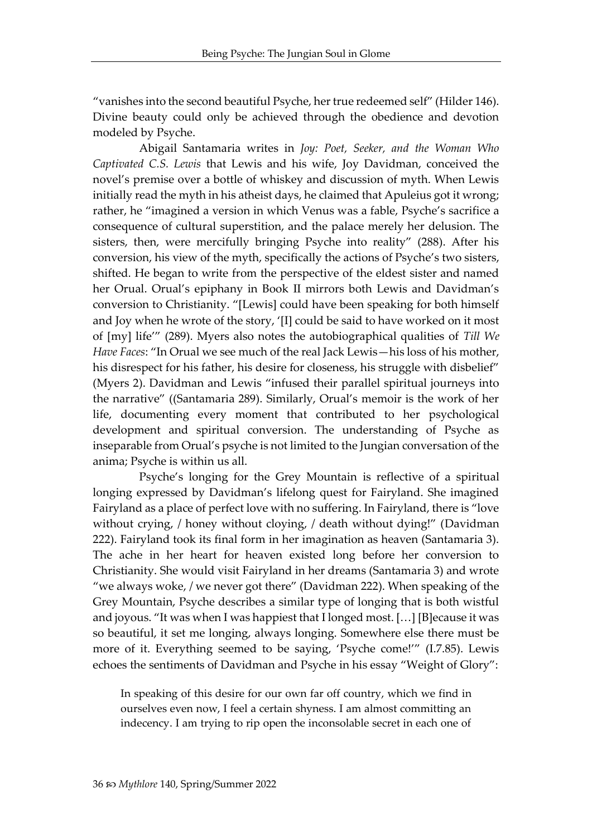"vanishes into the second beautiful Psyche, her true redeemed self" (Hilder 146). Divine beauty could only be achieved through the obedience and devotion modeled by Psyche.

Abigail Santamaria writes in *Joy: Poet, Seeker, and the Woman Who Captivated C.S. Lewis* that Lewis and his wife, Joy Davidman, conceived the novel's premise over a bottle of whiskey and discussion of myth. When Lewis initially read the myth in his atheist days, he claimed that Apuleius got it wrong; rather, he "imagined a version in which Venus was a fable, Psyche's sacrifice a consequence of cultural superstition, and the palace merely her delusion. The sisters, then, were mercifully bringing Psyche into reality" (288). After his conversion, his view of the myth, specifically the actions of Psyche's two sisters, shifted. He began to write from the perspective of the eldest sister and named her Orual. Orual's epiphany in Book II mirrors both Lewis and Davidman's conversion to Christianity. "[Lewis] could have been speaking for both himself and Joy when he wrote of the story, '[I] could be said to have worked on it most of [my] life'" (289). Myers also notes the autobiographical qualities of *Till We Have Faces*: "In Orual we see much of the real Jack Lewis—his loss of his mother, his disrespect for his father, his desire for closeness, his struggle with disbelief" (Myers 2). Davidman and Lewis "infused their parallel spiritual journeys into the narrative" ((Santamaria 289). Similarly, Orual's memoir is the work of her life, documenting every moment that contributed to her psychological development and spiritual conversion. The understanding of Psyche as inseparable from Orual's psyche is not limited to the Jungian conversation of the anima; Psyche is within us all.

Psyche's longing for the Grey Mountain is reflective of a spiritual longing expressed by Davidman's lifelong quest for Fairyland. She imagined Fairyland as a place of perfect love with no suffering. In Fairyland, there is "love without crying, / honey without cloying, / death without dying!" (Davidman 222). Fairyland took its final form in her imagination as heaven (Santamaria 3). The ache in her heart for heaven existed long before her conversion to Christianity. She would visit Fairyland in her dreams (Santamaria 3) and wrote "we always woke, / we never got there" (Davidman 222). When speaking of the Grey Mountain, Psyche describes a similar type of longing that is both wistful and joyous. "It was when I was happiest that I longed most. […] [B]ecause it was so beautiful, it set me longing, always longing. Somewhere else there must be more of it. Everything seemed to be saying, 'Psyche come!'" (I.7.85). Lewis echoes the sentiments of Davidman and Psyche in his essay "Weight of Glory":

In speaking of this desire for our own far off country, which we find in ourselves even now, I feel a certain shyness. I am almost committing an indecency. I am trying to rip open the inconsolable secret in each one of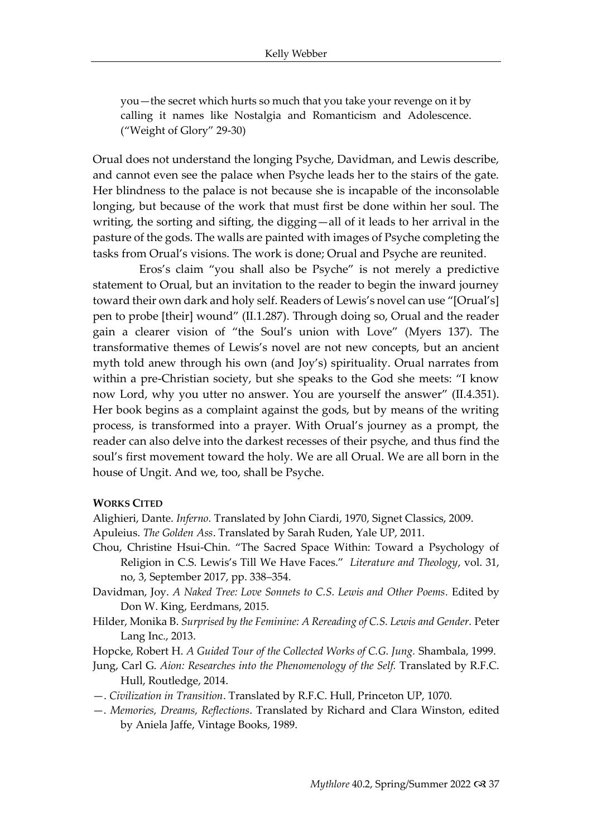you—the secret which hurts so much that you take your revenge on it by calling it names like Nostalgia and Romanticism and Adolescence. ("Weight of Glory" 29-30)

Orual does not understand the longing Psyche, Davidman, and Lewis describe, and cannot even see the palace when Psyche leads her to the stairs of the gate. Her blindness to the palace is not because she is incapable of the inconsolable longing, but because of the work that must first be done within her soul. The writing, the sorting and sifting, the digging—all of it leads to her arrival in the pasture of the gods. The walls are painted with images of Psyche completing the tasks from Orual's visions. The work is done; Orual and Psyche are reunited.

Eros's claim "you shall also be Psyche" is not merely a predictive statement to Orual, but an invitation to the reader to begin the inward journey toward their own dark and holy self. Readers of Lewis's novel can use "[Orual's] pen to probe [their] wound" (II.1.287). Through doing so, Orual and the reader gain a clearer vision of "the Soul's union with Love" (Myers 137). The transformative themes of Lewis's novel are not new concepts, but an ancient myth told anew through his own (and Joy's) spirituality. Orual narrates from within a pre-Christian society, but she speaks to the God she meets: "I know now Lord, why you utter no answer. You are yourself the answer" (II.4.351). Her book begins as a complaint against the gods, but by means of the writing process, is transformed into a prayer. With Orual's journey as a prompt, the reader can also delve into the darkest recesses of their psyche, and thus find the soul's first movement toward the holy. We are all Orual. We are all born in the house of Ungit. And we, too, shall be Psyche.

#### **WORKS CITED**

Alighieri, Dante. *Inferno.* Translated by John Ciardi, 1970, Signet Classics, 2009.

- Apuleius. *The Golden Ass*. Translated by Sarah Ruden, Yale UP, 2011.
- Chou, Christine Hsui-Chin. "The Sacred Space Within: Toward a Psychology of Religion in C.S. Lewis's Till We Have Faces." *Literature and Theology*, vol. 31, no, 3, September 2017, pp. 338–354.
- Davidman, Joy. *A Naked Tree: Love Sonnets to C.S. Lewis and Other Poems. Edited by* Don W. King, Eerdmans, 2015.
- Hilder, Monika B. *Surprised by the Feminine: A Rereading of C.S. Lewis and Gender.* Peter Lang Inc., 2013.

Hopcke, Robert H. *A Guided Tour of the Collected Works of C.G. Jung.* Shambala, 1999.

- Jung, Carl G. *Aion: Researches into the Phenomenology of the Self.* Translated by R.F.C. Hull, Routledge, 2014.
- —. *Civilization in Transition*. Translated by R.F.C. Hull, Princeton UP, 1070.
- —*. Memories, Dreams, Reflections*. Translated by Richard and Clara Winston, edited by Aniela Jaffe, Vintage Books, 1989.